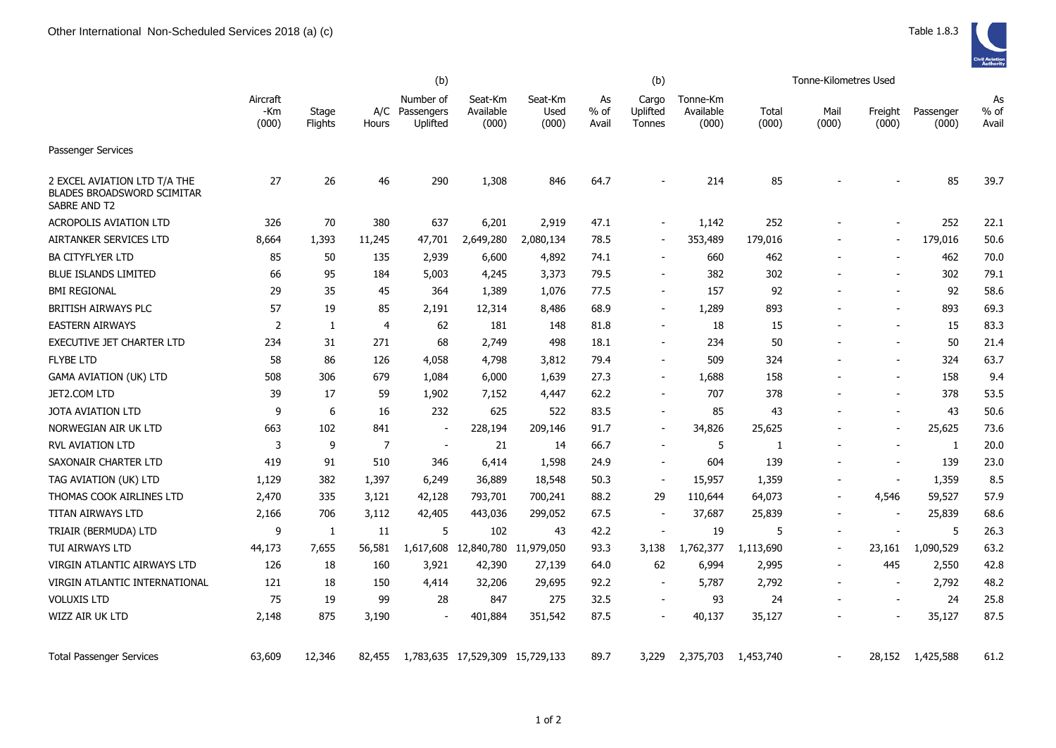|                                                                                   | (b)                      |                  |                |                                         |                                 |                          |                       | (b)                         |                                |                | Tonne-Kilometres Used    |                  |                    |                       |
|-----------------------------------------------------------------------------------|--------------------------|------------------|----------------|-----------------------------------------|---------------------------------|--------------------------|-----------------------|-----------------------------|--------------------------------|----------------|--------------------------|------------------|--------------------|-----------------------|
|                                                                                   | Aircraft<br>-Km<br>(000) | Stage<br>Flights | Hours          | Number of<br>A/C Passengers<br>Uplifted | Seat-Km<br>Available<br>(000)   | Seat-Km<br>Used<br>(000) | As<br>$%$ of<br>Avail | Cargo<br>Uplifted<br>Tonnes | Tonne-Km<br>Available<br>(000) | Total<br>(000) | Mail<br>(000)            | Freight<br>(000) | Passenger<br>(000) | As<br>$%$ of<br>Avail |
| Passenger Services                                                                |                          |                  |                |                                         |                                 |                          |                       |                             |                                |                |                          |                  |                    |                       |
| 2 EXCEL AVIATION LTD T/A THE<br><b>BLADES BROADSWORD SCIMITAR</b><br>SABRE AND T2 | 27                       | 26               | 46             | 290                                     | 1,308                           | 846                      | 64.7                  |                             | 214                            | 85             |                          |                  | 85                 | 39.7                  |
| <b>ACROPOLIS AVIATION LTD</b>                                                     | 326                      | 70               | 380            | 637                                     | 6,201                           | 2,919                    | 47.1                  |                             | 1,142                          | 252            |                          |                  | 252                | 22.1                  |
| AIRTANKER SERVICES LTD                                                            | 8,664                    | 1,393            | 11,245         | 47,701                                  | 2,649,280                       | 2,080,134                | 78.5                  |                             | 353,489                        | 179,016        |                          |                  | 179,016            | 50.6                  |
| <b>BA CITYFLYER LTD</b>                                                           | 85                       | 50               | 135            | 2,939                                   | 6,600                           | 4,892                    | 74.1                  |                             | 660                            | 462            |                          |                  | 462                | 70.0                  |
| <b>BLUE ISLANDS LIMITED</b>                                                       | 66                       | 95               | 184            | 5,003                                   | 4,245                           | 3,373                    | 79.5                  |                             | 382                            | 302            |                          |                  | 302                | 79.1                  |
| <b>BMI REGIONAL</b>                                                               | 29                       | 35               | 45             | 364                                     | 1,389                           | 1,076                    | 77.5                  |                             | 157                            | 92             | $\overline{\phantom{a}}$ |                  | 92                 | 58.6                  |
| <b>BRITISH AIRWAYS PLC</b>                                                        | 57                       | 19               | 85             | 2,191                                   | 12,314                          | 8,486                    | 68.9                  | $\blacksquare$              | 1,289                          | 893            | $\blacksquare$           |                  | 893                | 69.3                  |
| <b>EASTERN AIRWAYS</b>                                                            | 2                        | $\mathbf{1}$     | $\overline{4}$ | 62                                      | 181                             | 148                      | 81.8                  |                             | 18                             | 15             |                          |                  | 15                 | 83.3                  |
| EXECUTIVE JET CHARTER LTD                                                         | 234                      | 31               | 271            | 68                                      | 2,749                           | 498                      | 18.1                  |                             | 234                            | 50             |                          |                  | 50                 | 21.4                  |
| <b>FLYBE LTD</b>                                                                  | 58                       | 86               | 126            | 4,058                                   | 4,798                           | 3,812                    | 79.4                  |                             | 509                            | 324            |                          |                  | 324                | 63.7                  |
| <b>GAMA AVIATION (UK) LTD</b>                                                     | 508                      | 306              | 679            | 1,084                                   | 6,000                           | 1,639                    | 27.3                  |                             | 1,688                          | 158            |                          |                  | 158                | 9.4                   |
| JET2.COM LTD                                                                      | 39                       | 17               | 59             | 1,902                                   | 7,152                           | 4,447                    | 62.2                  |                             | 707                            | 378            |                          |                  | 378                | 53.5                  |
| <b>JOTA AVIATION LTD</b>                                                          | 9                        | 6                | 16             | 232                                     | 625                             | 522                      | 83.5                  | $\blacksquare$              | 85                             | 43             |                          |                  | 43                 | 50.6                  |
| NORWEGIAN AIR UK LTD                                                              | 663                      | 102              | 841            | $\sim$                                  | 228,194                         | 209,146                  | 91.7                  | $\blacksquare$              | 34,826                         | 25,625         |                          | $\sim$           | 25,625             | 73.6                  |
| <b>RVL AVIATION LTD</b>                                                           | 3                        | 9                | 7              | $\overline{\phantom{a}}$                | 21                              | 14                       | 66.7                  |                             | 5                              | -1             |                          |                  | $\mathbf{1}$       | 20.0                  |
| SAXONAIR CHARTER LTD                                                              | 419                      | 91               | 510            | 346                                     | 6,414                           | 1,598                    | 24.9                  |                             | 604                            | 139            |                          |                  | 139                | 23.0                  |
| TAG AVIATION (UK) LTD                                                             | 1,129                    | 382              | 1,397          | 6,249                                   | 36,889                          | 18,548                   | 50.3                  |                             | 15,957                         | 1,359          | $\overline{\phantom{a}}$ | $\sim$           | 1,359              | 8.5                   |
| THOMAS COOK AIRLINES LTD                                                          | 2,470                    | 335              | 3,121          | 42,128                                  | 793,701                         | 700,241                  | 88.2                  | 29                          | 110,644                        | 64,073         |                          | 4,546            | 59,527             | 57.9                  |
| TITAN AIRWAYS LTD                                                                 | 2,166                    | 706              | 3,112          | 42,405                                  | 443,036                         | 299,052                  | 67.5                  |                             | 37,687                         | 25,839         | $\overline{\phantom{a}}$ |                  | 25,839             | 68.6                  |
| TRIAIR (BERMUDA) LTD                                                              | 9                        | 1                | 11             | 5                                       | 102                             | 43                       | 42.2                  |                             | 19                             | 5              | $\blacksquare$           | $\sim$           | 5                  | 26.3                  |
| TUI AIRWAYS LTD                                                                   | 44,173                   | 7,655            | 56,581         | 1,617,608                               | 12,840,780                      | 11,979,050               | 93.3                  | 3,138                       | 1,762,377                      | 1,113,690      | $\blacksquare$           | 23,161           | 1,090,529          | 63.2                  |
| VIRGIN ATLANTIC AIRWAYS LTD                                                       | 126                      | 18               | 160            | 3,921                                   | 42,390                          | 27,139                   | 64.0                  | 62                          | 6,994                          | 2,995          | $\blacksquare$           | 445              | 2,550              | 42.8                  |
| VIRGIN ATLANTIC INTERNATIONAL                                                     | 121                      | 18               | 150            | 4,414                                   | 32,206                          | 29,695                   | 92.2                  |                             | 5,787                          | 2,792          |                          | $\sim$           | 2,792              | 48.2                  |
| <b>VOLUXIS LTD</b>                                                                | 75                       | 19               | 99             | 28                                      | 847                             | 275                      | 32.5                  |                             | 93                             | 24             |                          |                  | 24                 | 25.8                  |
| WIZZ AIR UK LTD                                                                   | 2,148                    | 875              | 3,190          | $\overline{\phantom{a}}$                | 401,884                         | 351,542                  | 87.5                  |                             | 40,137                         | 35,127         |                          |                  | 35,127             | 87.5                  |
| <b>Total Passenger Services</b>                                                   | 63,609                   | 12,346           | 82,455         |                                         | 1,783,635 17,529,309 15,729,133 |                          | 89.7                  | 3,229                       | 2,375,703                      | 1,453,740      |                          | 28,152           | 1,425,588          | 61.2                  |